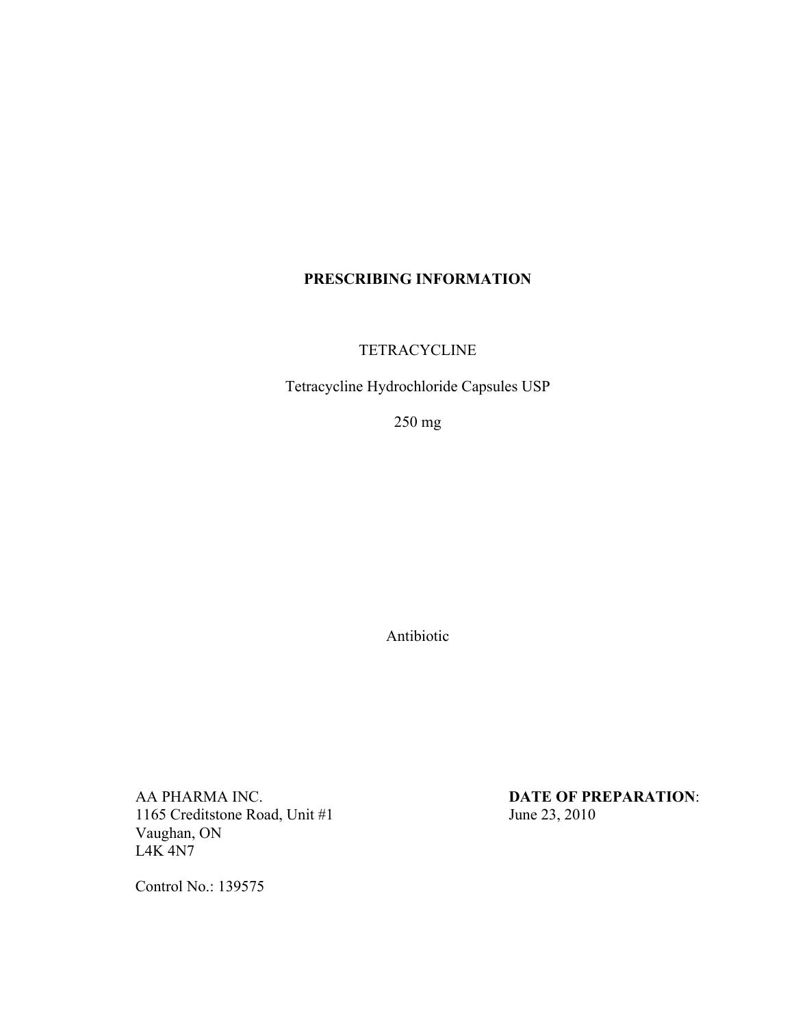# **PRESCRIBING INFORMATION**

**TETRACYCLINE** 

Tetracycline Hydrochloride Capsules USP

250 mg

Antibiotic

AA PHARMA INC.<br>1165 Creditstone Road, Unit #1 **DATE OF PREPARATION**:<br>June 23, 2010 1165 Creditstone Road, Unit #1 Vaughan, ON L4K 4N7

Control No.: 139575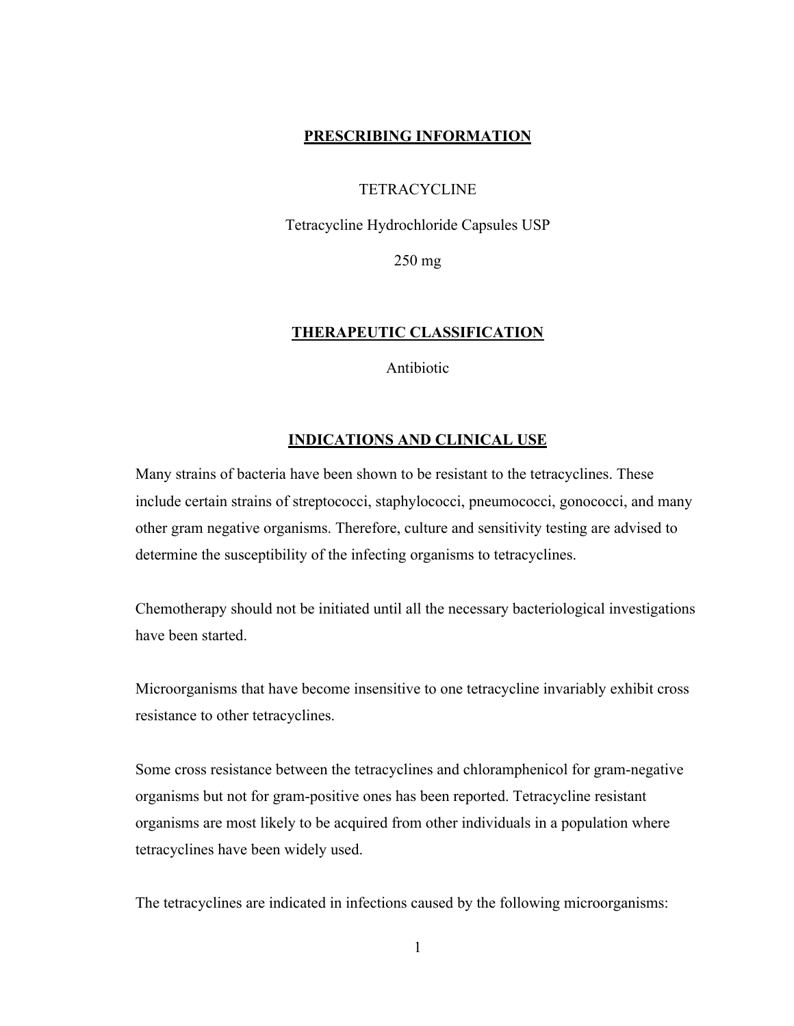# **PRESCRIBING INFORMATION**

### **TETRACYCLINE**

Tetracycline Hydrochloride Capsules USP

250 mg

### **THERAPEUTIC CLASSIFICATION**

Antibiotic

#### **INDICATIONS AND CLINICAL USE**

Many strains of bacteria have been shown to be resistant to the tetracyclines. These include certain strains of streptococci, staphylococci, pneumococci, gonococci, and many other gram negative organisms. Therefore, culture and sensitivity testing are advised to determine the susceptibility of the infecting organisms to tetracyclines.

Chemotherapy should not be initiated until all the necessary bacteriological investigations have been started.

Microorganisms that have become insensitive to one tetracycline invariably exhibit cross resistance to other tetracyclines.

Some cross resistance between the tetracyclines and chloramphenicol for gram-negative organisms but not for gram-positive ones has been reported. Tetracycline resistant organisms are most likely to be acquired from other individuals in a population where tetracyclines have been widely used.

The tetracyclines are indicated in infections caused by the following microorganisms: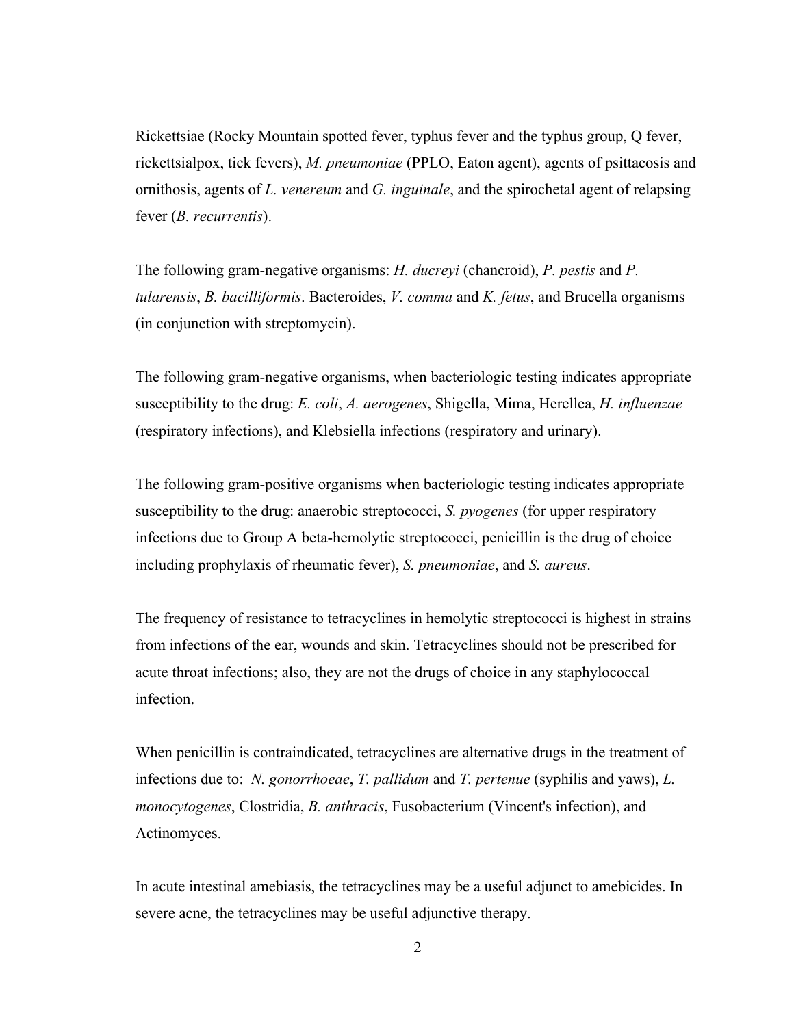Rickettsiae (Rocky Mountain spotted fever, typhus fever and the typhus group, Q fever, rickettsialpox, tick fevers), *M. pneumoniae* (PPLO, Eaton agent), agents of psittacosis and ornithosis, agents of *L. venereum* and *G. inguinale*, and the spirochetal agent of relapsing fever (*B. recurrentis*).

The following gram-negative organisms: *H. ducreyi* (chancroid), *P. pestis* and *P. tularensis*, *B. bacilliformis*. Bacteroides, *V. comma* and *K. fetus*, and Brucella organisms (in conjunction with streptomycin).

The following gram-negative organisms, when bacteriologic testing indicates appropriate susceptibility to the drug: *E. coli*, *A. aerogenes*, Shigella, Mima, Herellea, *H. influenzae* (respiratory infections), and Klebsiella infections (respiratory and urinary).

The following gram-positive organisms when bacteriologic testing indicates appropriate susceptibility to the drug: anaerobic streptococci, *S. pyogenes* (for upper respiratory infections due to Group A beta-hemolytic streptococci, penicillin is the drug of choice including prophylaxis of rheumatic fever), *S. pneumoniae*, and *S. aureus*.

The frequency of resistance to tetracyclines in hemolytic streptococci is highest in strains from infections of the ear, wounds and skin. Tetracyclines should not be prescribed for acute throat infections; also, they are not the drugs of choice in any staphylococcal infection.

When penicillin is contraindicated, tetracyclines are alternative drugs in the treatment of infections due to: *N. gonorrhoeae*, *T. pallidum* and *T. pertenue* (syphilis and yaws), *L. monocytogenes*, Clostridia, *B. anthracis*, Fusobacterium (Vincent's infection), and Actinomyces.

In acute intestinal amebiasis, the tetracyclines may be a useful adjunct to amebicides. In severe acne, the tetracyclines may be useful adjunctive therapy.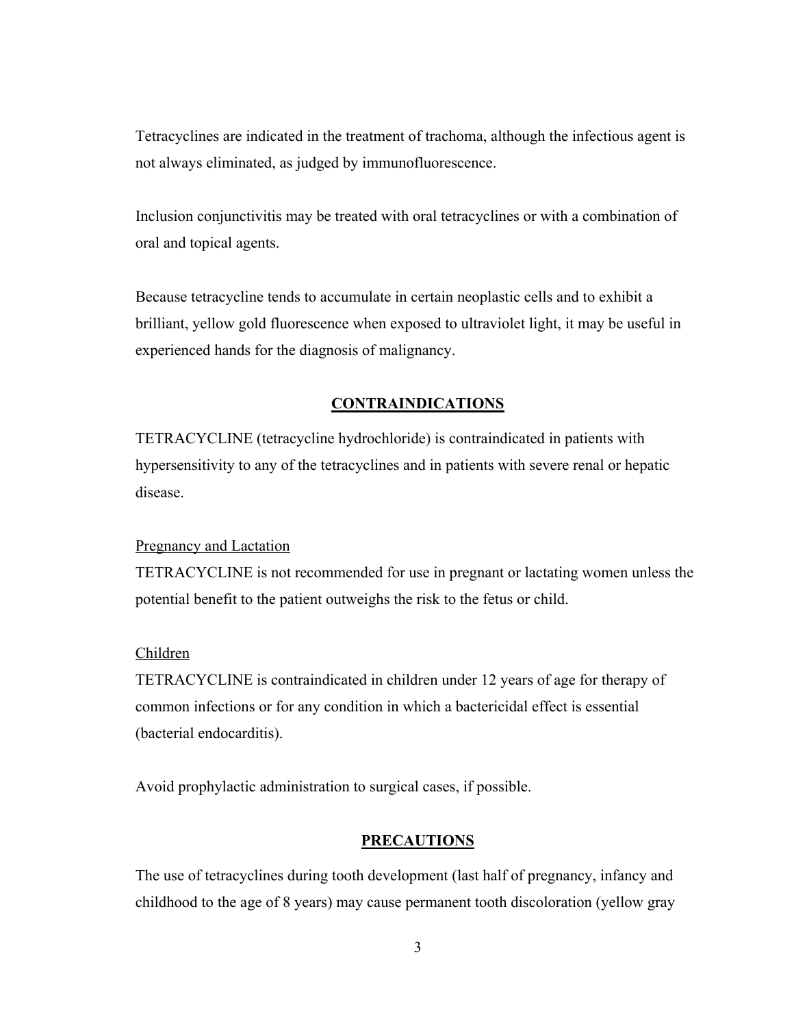Tetracyclines are indicated in the treatment of trachoma, although the infectious agent is not always eliminated, as judged by immunofluorescence.

Inclusion conjunctivitis may be treated with oral tetracyclines or with a combination of oral and topical agents.

Because tetracycline tends to accumulate in certain neoplastic cells and to exhibit a brilliant, yellow gold fluorescence when exposed to ultraviolet light, it may be useful in experienced hands for the diagnosis of malignancy.

### **CONTRAINDICATIONS**

TETRACYCLINE (tetracycline hydrochloride) is contraindicated in patients with hypersensitivity to any of the tetracyclines and in patients with severe renal or hepatic disease.

#### Pregnancy and Lactation

TETRACYCLINE is not recommended for use in pregnant or lactating women unless the potential benefit to the patient outweighs the risk to the fetus or child.

#### Children

TETRACYCLINE is contraindicated in children under 12 years of age for therapy of common infections or for any condition in which a bactericidal effect is essential (bacterial endocarditis).

Avoid prophylactic administration to surgical cases, if possible.

#### **PRECAUTIONS**

The use of tetracyclines during tooth development (last half of pregnancy, infancy and childhood to the age of 8 years) may cause permanent tooth discoloration (yellow gray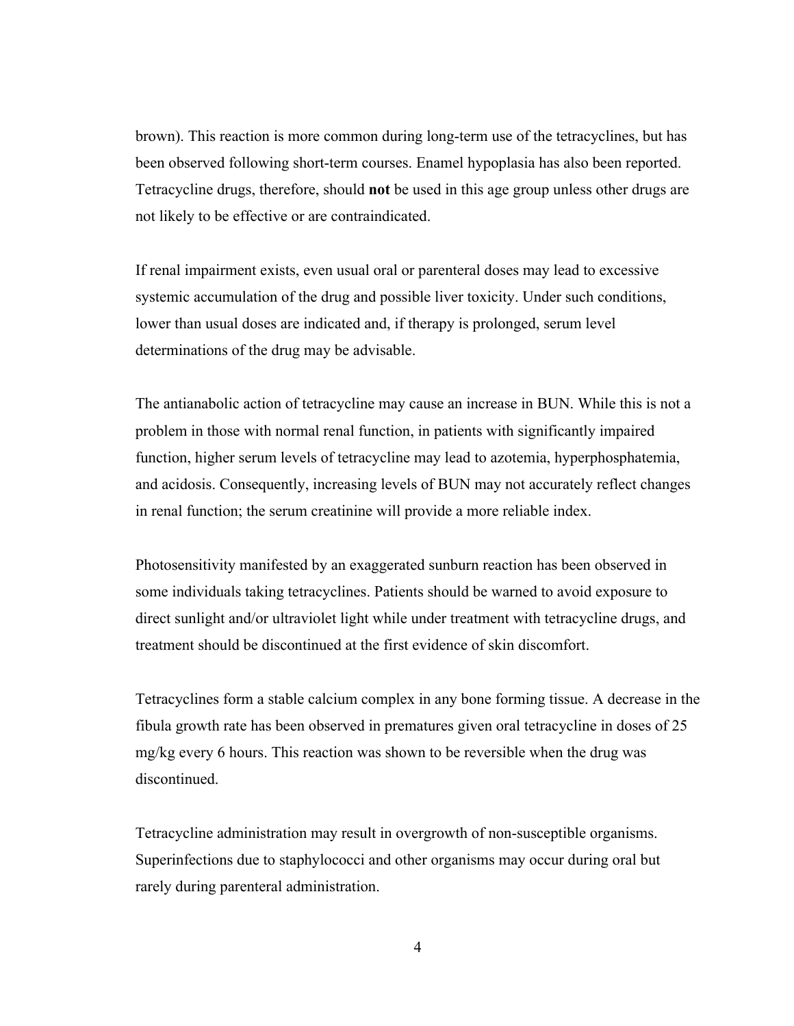brown). This reaction is more common during long-term use of the tetracyclines, but has been observed following short-term courses. Enamel hypoplasia has also been reported. Tetracycline drugs, therefore, should **not** be used in this age group unless other drugs are not likely to be effective or are contraindicated.

If renal impairment exists, even usual oral or parenteral doses may lead to excessive systemic accumulation of the drug and possible liver toxicity. Under such conditions, lower than usual doses are indicated and, if therapy is prolonged, serum level determinations of the drug may be advisable.

The antianabolic action of tetracycline may cause an increase in BUN. While this is not a problem in those with normal renal function, in patients with significantly impaired function, higher serum levels of tetracycline may lead to azotemia, hyperphosphatemia, and acidosis. Consequently, increasing levels of BUN may not accurately reflect changes in renal function; the serum creatinine will provide a more reliable index.

Photosensitivity manifested by an exaggerated sunburn reaction has been observed in some individuals taking tetracyclines. Patients should be warned to avoid exposure to direct sunlight and/or ultraviolet light while under treatment with tetracycline drugs, and treatment should be discontinued at the first evidence of skin discomfort.

Tetracyclines form a stable calcium complex in any bone forming tissue. A decrease in the fibula growth rate has been observed in prematures given oral tetracycline in doses of 25 mg/kg every 6 hours. This reaction was shown to be reversible when the drug was discontinued.

Tetracycline administration may result in overgrowth of non-susceptible organisms. Superinfections due to staphylococci and other organisms may occur during oral but rarely during parenteral administration.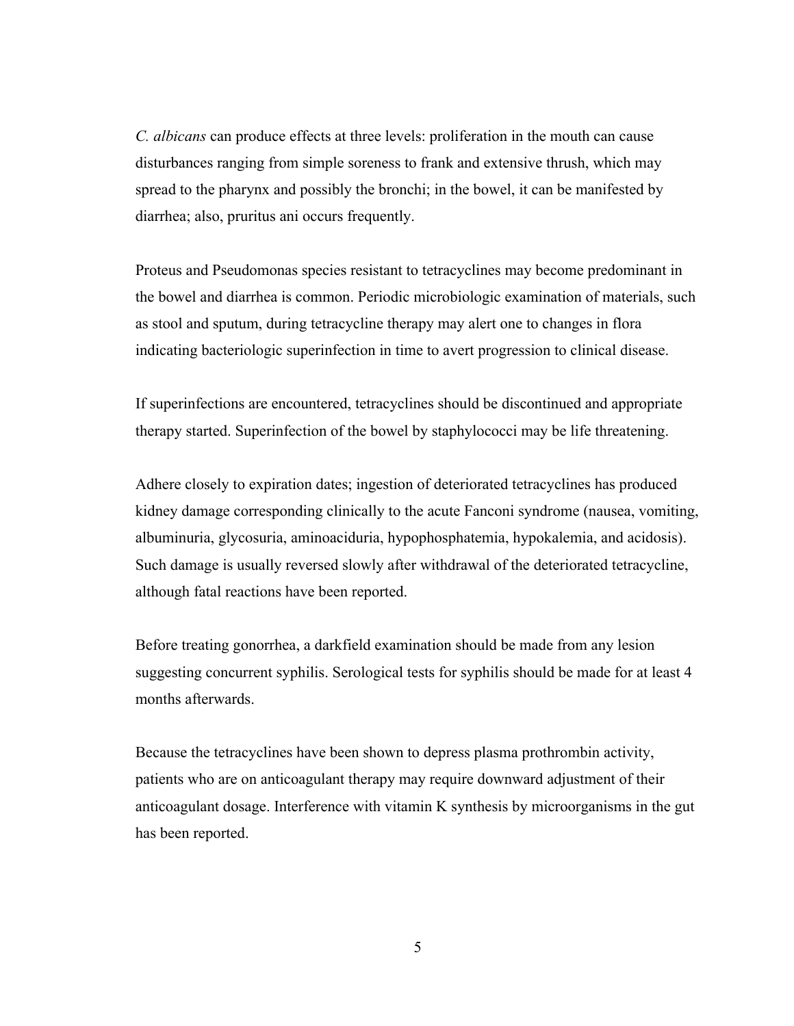*C. albicans* can produce effects at three levels: proliferation in the mouth can cause disturbances ranging from simple soreness to frank and extensive thrush, which may spread to the pharynx and possibly the bronchi; in the bowel, it can be manifested by diarrhea; also, pruritus ani occurs frequently.

Proteus and Pseudomonas species resistant to tetracyclines may become predominant in the bowel and diarrhea is common. Periodic microbiologic examination of materials, such as stool and sputum, during tetracycline therapy may alert one to changes in flora indicating bacteriologic superinfection in time to avert progression to clinical disease.

If superinfections are encountered, tetracyclines should be discontinued and appropriate therapy started. Superinfection of the bowel by staphylococci may be life threatening.

Adhere closely to expiration dates; ingestion of deteriorated tetracyclines has produced kidney damage corresponding clinically to the acute Fanconi syndrome (nausea, vomiting, albuminuria, glycosuria, aminoaciduria, hypophosphatemia, hypokalemia, and acidosis). Such damage is usually reversed slowly after withdrawal of the deteriorated tetracycline, although fatal reactions have been reported.

Before treating gonorrhea, a darkfield examination should be made from any lesion suggesting concurrent syphilis. Serological tests for syphilis should be made for at least 4 months afterwards.

Because the tetracyclines have been shown to depress plasma prothrombin activity, patients who are on anticoagulant therapy may require downward adjustment of their anticoagulant dosage. Interference with vitamin K synthesis by microorganisms in the gut has been reported.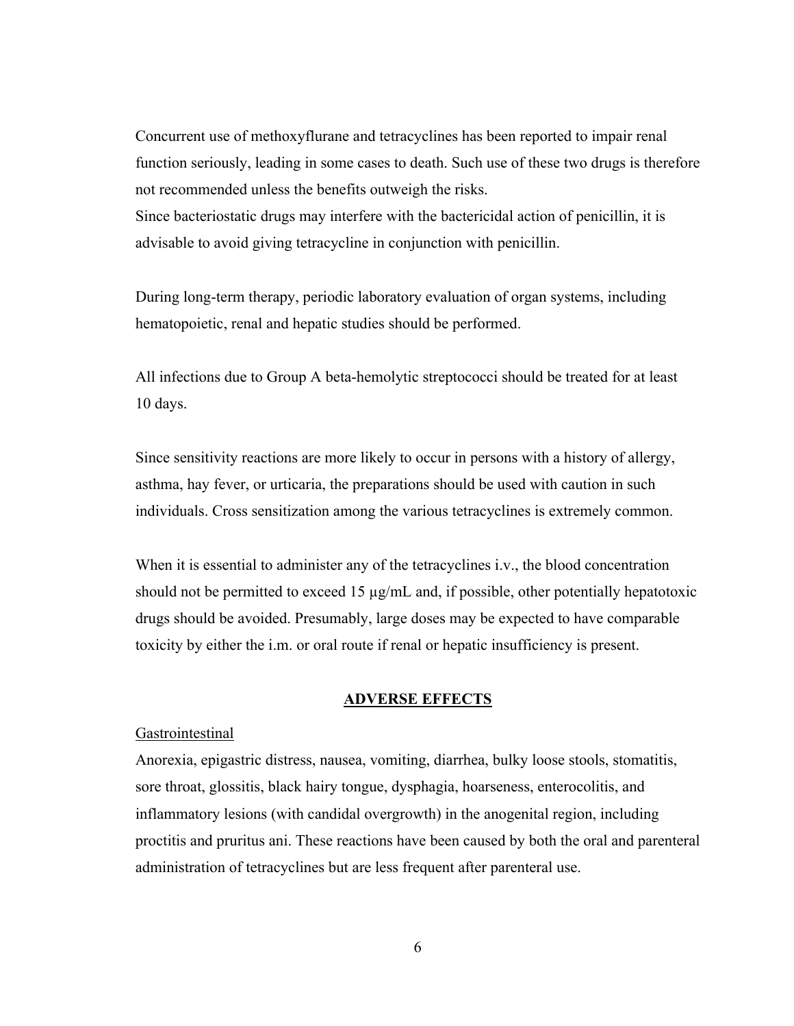Concurrent use of methoxyflurane and tetracyclines has been reported to impair renal function seriously, leading in some cases to death. Such use of these two drugs is therefore not recommended unless the benefits outweigh the risks. Since bacteriostatic drugs may interfere with the bactericidal action of penicillin, it is

advisable to avoid giving tetracycline in conjunction with penicillin.

During long-term therapy, periodic laboratory evaluation of organ systems, including hematopoietic, renal and hepatic studies should be performed.

All infections due to Group A beta-hemolytic streptococci should be treated for at least 10 days.

Since sensitivity reactions are more likely to occur in persons with a history of allergy, asthma, hay fever, or urticaria, the preparations should be used with caution in such individuals. Cross sensitization among the various tetracyclines is extremely common.

When it is essential to administer any of the tetracyclines i.v., the blood concentration should not be permitted to exceed 15  $\mu$ g/mL and, if possible, other potentially hepatotoxic drugs should be avoided. Presumably, large doses may be expected to have comparable toxicity by either the i.m. or oral route if renal or hepatic insufficiency is present.

#### **ADVERSE EFFECTS**

### **Gastrointestinal**

Anorexia, epigastric distress, nausea, vomiting, diarrhea, bulky loose stools, stomatitis, sore throat, glossitis, black hairy tongue, dysphagia, hoarseness, enterocolitis, and inflammatory lesions (with candidal overgrowth) in the anogenital region, including proctitis and pruritus ani. These reactions have been caused by both the oral and parenteral administration of tetracyclines but are less frequent after parenteral use.

6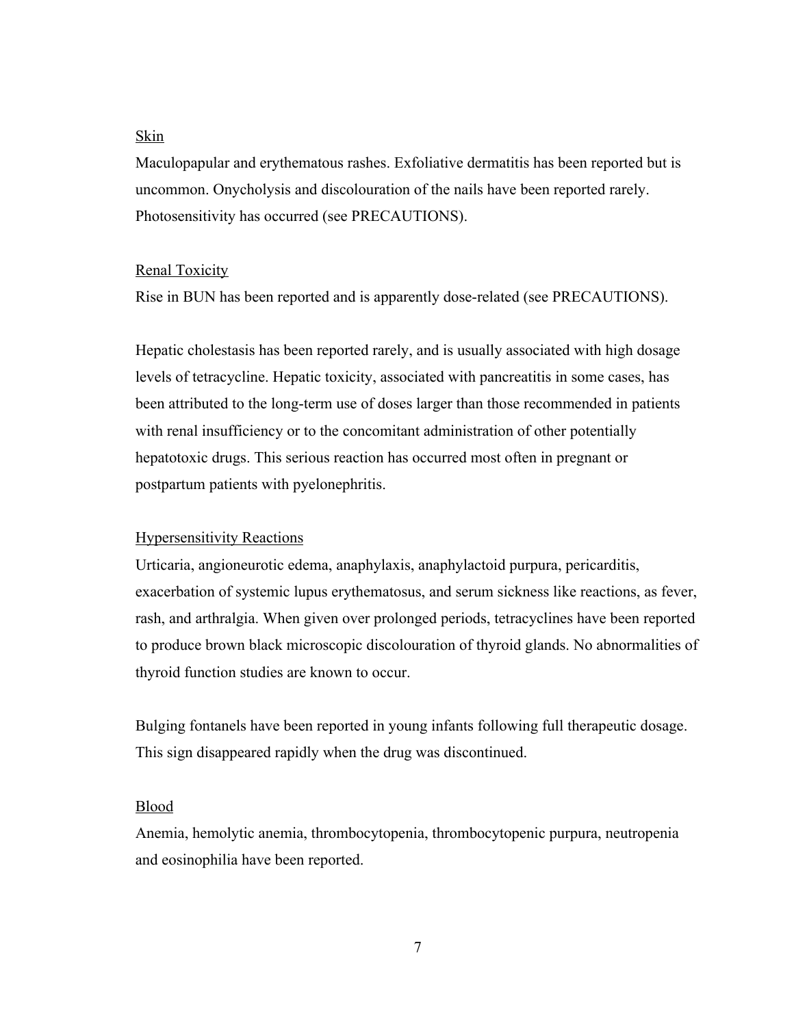# Skin

Maculopapular and erythematous rashes. Exfoliative dermatitis has been reported but is uncommon. Onycholysis and discolouration of the nails have been reported rarely. Photosensitivity has occurred (see PRECAUTIONS).

### Renal Toxicity

Rise in BUN has been reported and is apparently dose-related (see PRECAUTIONS).

Hepatic cholestasis has been reported rarely, and is usually associated with high dosage levels of tetracycline. Hepatic toxicity, associated with pancreatitis in some cases, has been attributed to the long-term use of doses larger than those recommended in patients with renal insufficiency or to the concomitant administration of other potentially hepatotoxic drugs. This serious reaction has occurred most often in pregnant or postpartum patients with pyelonephritis.

# Hypersensitivity Reactions

Urticaria, angioneurotic edema, anaphylaxis, anaphylactoid purpura, pericarditis, exacerbation of systemic lupus erythematosus, and serum sickness like reactions, as fever, rash, and arthralgia. When given over prolonged periods, tetracyclines have been reported to produce brown black microscopic discolouration of thyroid glands. No abnormalities of thyroid function studies are known to occur.

Bulging fontanels have been reported in young infants following full therapeutic dosage. This sign disappeared rapidly when the drug was discontinued.

#### Blood

Anemia, hemolytic anemia, thrombocytopenia, thrombocytopenic purpura, neutropenia and eosinophilia have been reported.